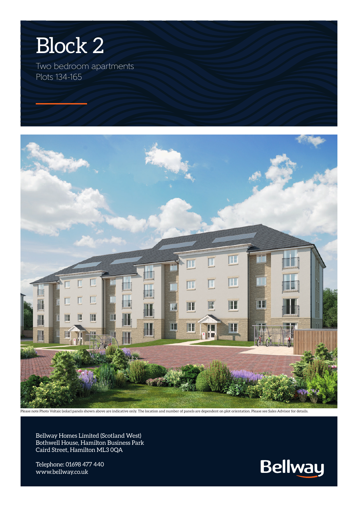

Two bedroom apartments Plots 134-165



Please note Photo Voltaic (solar) panels shown above are indicative only. The location and number of panels are dependent on plot orientation. Please see Sales Advisor for details

Bellway Homes Limited (Scotland West) Bothwell House, Hamilton Business Park Caird Street, Hamilton ML3 0QA

Telephone: 01698 477 440 www.bellway.co.uk